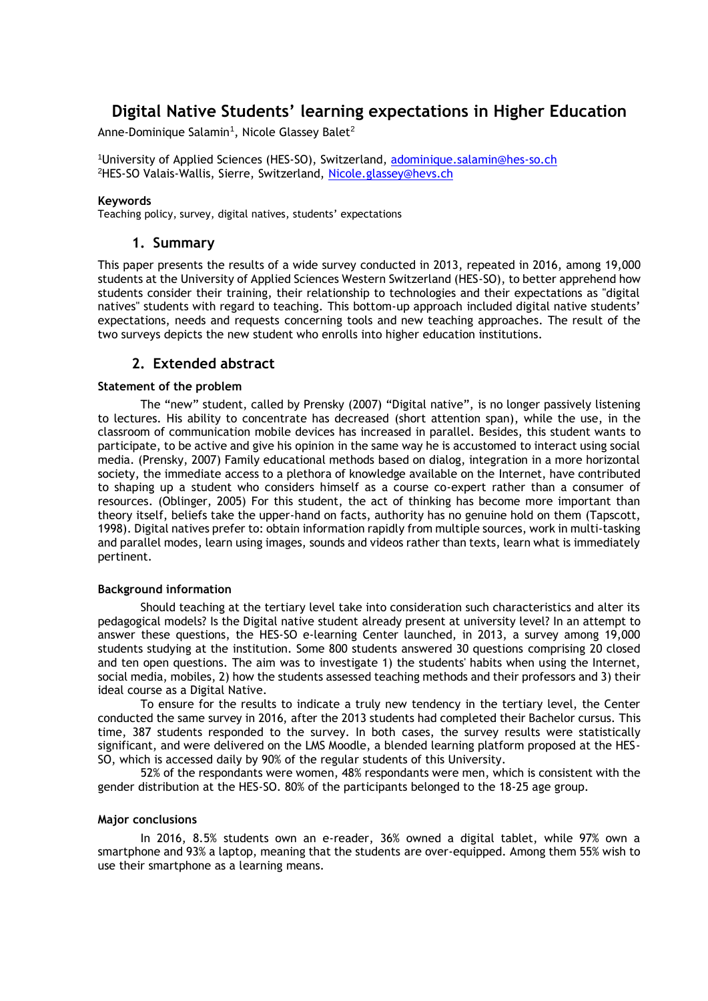# **Digital Native Students' learning expectations in Higher Education**

Anne-Dominique Salamin $^{\rm 1}$ , Nicole Glassey Balet $^{\rm 2}$ 

<sup>1</sup>University of Applied Sciences (HES-SO), Switzerland, [adominique.salamin@hes-so.ch](mailto:adominique.salamin@hes-so.ch) <sup>2</sup>HES-SO Valais-Wallis, Sierre, Switzerland, [Nicole.glassey@hevs.ch](mailto:Nicole.glassey@hevs.ch)

#### **Keywords**

Teaching policy, survey, digital natives, students' expectations

## **1. Summary**

This paper presents the results of a wide survey conducted in 2013, repeated in 2016, among 19,000 students at the University of Applied Sciences Western Switzerland (HES-SO), to better apprehend how students consider their training, their relationship to technologies and their expectations as "digital natives" students with regard to teaching. This bottom-up approach included digital native students' expectations, needs and requests concerning tools and new teaching approaches. The result of the two surveys depicts the new student who enrolls into higher education institutions.

# **2. Extended abstract**

#### **Statement of the problem**

The "new" student, called by Prensky (2007) "Digital native", is no longer passively listening to lectures. His ability to concentrate has decreased (short attention span), while the use, in the classroom of communication mobile devices has increased in parallel. Besides, this student wants to participate, to be active and give his opinion in the same way he is accustomed to interact using social media. (Prensky, 2007) Family educational methods based on dialog, integration in a more horizontal society, the immediate access to a plethora of knowledge available on the Internet, have contributed to shaping up a student who considers himself as a course co-expert rather than a consumer of resources. (Oblinger, 2005) For this student, the act of thinking has become more important than theory itself, beliefs take the upper-hand on facts, authority has no genuine hold on them (Tapscott, 1998). Digital natives prefer to: obtain information rapidly from multiple sources, work in multi-tasking and parallel modes, learn using images, sounds and videos rather than texts, learn what is immediately pertinent.

#### **Background information**

Should teaching at the tertiary level take into consideration such characteristics and alter its pedagogical models? Is the Digital native student already present at university level? In an attempt to answer these questions, the HES-SO e-learning Center launched, in 2013, a survey among 19,000 students studying at the institution. Some 800 students answered 30 questions comprising 20 closed and ten open questions. The aim was to investigate 1) the students' habits when using the Internet, social media, mobiles, 2) how the students assessed teaching methods and their professors and 3) their ideal course as a Digital Native.

To ensure for the results to indicate a truly new tendency in the tertiary level, the Center conducted the same survey in 2016, after the 2013 students had completed their Bachelor cursus. This time, 387 students responded to the survey. In both cases, the survey results were statistically significant, and were delivered on the LMS Moodle, a blended learning platform proposed at the HES-SO, which is accessed daily by 90% of the regular students of this University.

52% of the respondants were women, 48% respondants were men, which is consistent with the gender distribution at the HES-SO. 80% of the participants belonged to the 18-25 age group.

#### **Major conclusions**

In 2016, 8.5% students own an e-reader, 36% owned a digital tablet, while 97% own a smartphone and 93% a laptop, meaning that the students are over-equipped. Among them 55% wish to use their smartphone as a learning means.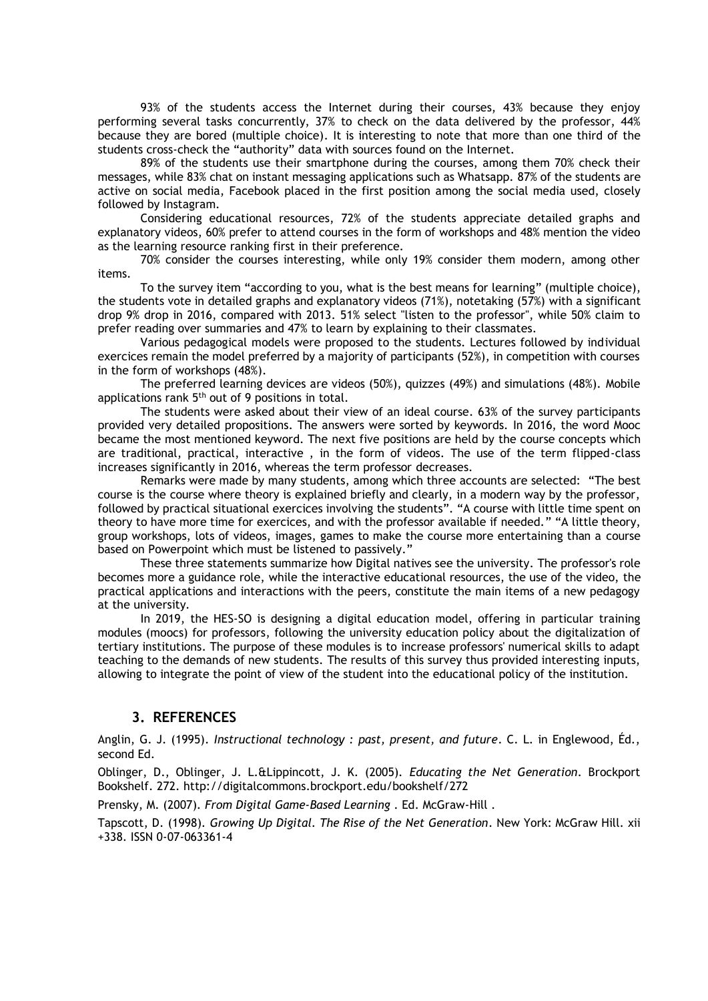93% of the students access the Internet during their courses, 43% because they enjoy performing several tasks concurrently, 37% to check on the data delivered by the professor, 44% because they are bored (multiple choice). It is interesting to note that more than one third of the students cross-check the "authority" data with sources found on the Internet.

89% of the students use their smartphone during the courses, among them 70% check their messages, while 83% chat on instant messaging applications such as Whatsapp. 87% of the students are active on social media, Facebook placed in the first position among the social media used, closely followed by Instagram.

Considering educational resources, 72% of the students appreciate detailed graphs and explanatory videos, 60% prefer to attend courses in the form of workshops and 48% mention the video as the learning resource ranking first in their preference.

70% consider the courses interesting, while only 19% consider them modern, among other items.

To the survey item "according to you, what is the best means for learning" (multiple choice), the students vote in detailed graphs and explanatory videos (71%), notetaking (57%) with a significant drop 9% drop in 2016, compared with 2013. 51% select "listen to the professor", while 50% claim to prefer reading over summaries and 47% to learn by explaining to their classmates.

Various pedagogical models were proposed to the students. Lectures followed by individual exercices remain the model preferred by a majority of participants (52%), in competition with courses in the form of workshops (48%).

The preferred learning devices are videos (50%), quizzes (49%) and simulations (48%). Mobile applications rank  $5<sup>th</sup>$  out of 9 positions in total.

The students were asked about their view of an ideal course. 63% of the survey participants provided very detailed propositions. The answers were sorted by keywords. In 2016, the word Mooc became the most mentioned keyword. The next five positions are held by the course concepts which are traditional, practical, interactive , in the form of videos. The use of the term flipped-class increases significantly in 2016, whereas the term professor decreases.

Remarks were made by many students, among which three accounts are selected: "The best course is the course where theory is explained briefly and clearly, in a modern way by the professor, followed by practical situational exercices involving the students". "A course with little time spent on theory to have more time for exercices, and with the professor available if needed." "A little theory, group workshops, lots of videos, images, games to make the course more entertaining than a course based on Powerpoint which must be listened to passively."

These three statements summarize how Digital natives see the university. The professor's role becomes more a guidance role, while the interactive educational resources, the use of the video, the practical applications and interactions with the peers, constitute the main items of a new pedagogy at the university.

In 2019, the HES-SO is designing a digital education model, offering in particular training modules (moocs) for professors, following the university education policy about the digitalization of tertiary institutions. The purpose of these modules is to increase professors' numerical skills to adapt teaching to the demands of new students. The results of this survey thus provided interesting inputs, allowing to integrate the point of view of the student into the educational policy of the institution.

### **3. REFERENCES**

Anglin, G. J. (1995). *Instructional technology : past, present, and future*. C. L. in Englewood, Éd., second Ed.

Oblinger, D., Oblinger, J. L.&Lippincott, J. K. (2005). *Educating the Net Generation*. Brockport Bookshelf. 272. http://digitalcommons.brockport.edu/bookshelf/272

Prensky, M. (2007). *From Digital Game-Based Learning* . Ed. McGraw-Hill .

Tapscott, D. (1998). *Growing Up Digital. The Rise of the Net Generation*. New York: McGraw Hill. xii +338. ISSN 0-07-063361-4